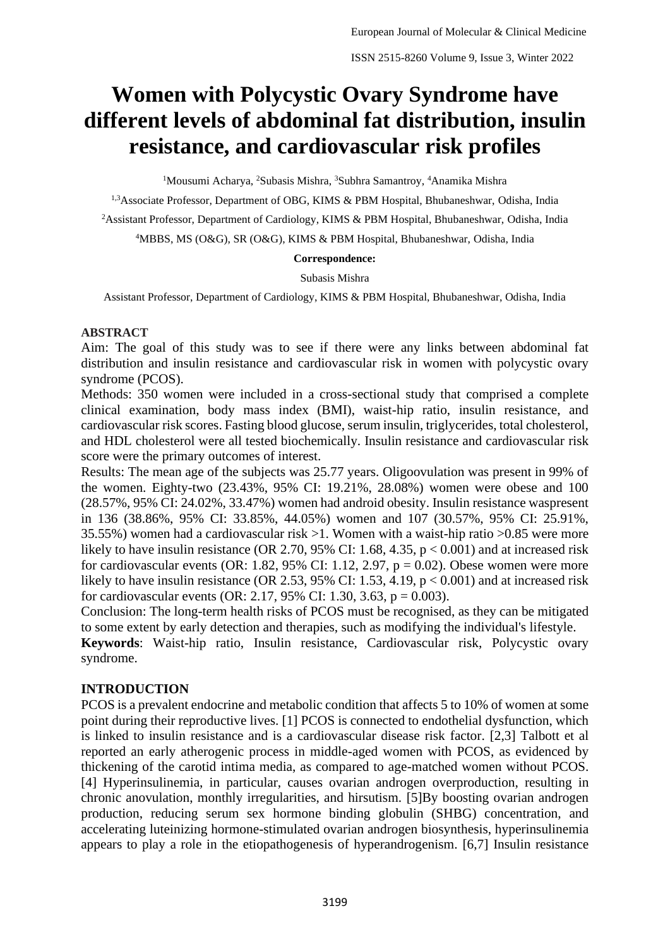# **Women with Polycystic Ovary Syndrome have different levels of abdominal fat distribution, insulin resistance, and cardiovascular risk profiles**

<sup>1</sup>Mousumi Acharya, <sup>2</sup>Subasis Mishra, <sup>3</sup>Subhra Samantroy, <sup>4</sup>Anamika Mishra

<sup>1,3</sup>Associate Professor, Department of OBG, KIMS & PBM Hospital, Bhubaneshwar, Odisha, India

<sup>2</sup>Assistant Professor, Department of Cardiology, KIMS & PBM Hospital, Bhubaneshwar, Odisha, India

<sup>4</sup>MBBS, MS (O&G), SR (O&G), KIMS & PBM Hospital, Bhubaneshwar, Odisha, India

#### **Correspondence:**

Subasis Mishra

Assistant Professor, Department of Cardiology, KIMS & PBM Hospital, Bhubaneshwar, Odisha, India

#### **ABSTRACT**

Aim: The goal of this study was to see if there were any links between abdominal fat distribution and insulin resistance and cardiovascular risk in women with polycystic ovary syndrome (PCOS).

Methods: 350 women were included in a cross-sectional study that comprised a complete clinical examination, body mass index (BMI), waist-hip ratio, insulin resistance, and cardiovascular risk scores. Fasting blood glucose, serum insulin, triglycerides, total cholesterol, and HDL cholesterol were all tested biochemically. Insulin resistance and cardiovascular risk score were the primary outcomes of interest.

Results: The mean age of the subjects was 25.77 years. Oligoovulation was present in 99% of the women. Eighty-two (23.43%, 95% CI: 19.21%, 28.08%) women were obese and 100 (28.57%, 95% CI: 24.02%, 33.47%) women had android obesity. Insulin resistance waspresent in 136 (38.86%, 95% CI: 33.85%, 44.05%) women and 107 (30.57%, 95% CI: 25.91%, 35.55%) women had a cardiovascular risk >1. Women with a waist-hip ratio >0.85 were more likely to have insulin resistance (OR 2.70, 95% CI: 1.68, 4.35,  $p < 0.001$ ) and at increased risk for cardiovascular events (OR: 1.82, 95% CI: 1.12, 2.97,  $p = 0.02$ ). Obese women were more likely to have insulin resistance (OR 2.53, 95% CI: 1.53, 4.19,  $p < 0.001$ ) and at increased risk for cardiovascular events (OR: 2.17, 95% CI: 1.30, 3.63,  $p = 0.003$ ).

Conclusion: The long-term health risks of PCOS must be recognised, as they can be mitigated to some extent by early detection and therapies, such as modifying the individual's lifestyle. **Keywords**: Waist-hip ratio, Insulin resistance, Cardiovascular risk, Polycystic ovary syndrome.

## **INTRODUCTION**

PCOS is a prevalent endocrine and metabolic condition that affects 5 to 10% of women at some point during their reproductive lives. [1] PCOS is connected to endothelial dysfunction, which is linked to insulin resistance and is a cardiovascular disease risk factor. [2,3] Talbott et al reported an early atherogenic process in middle-aged women with PCOS, as evidenced by thickening of the carotid intima media, as compared to age-matched women without PCOS. [4] Hyperinsulinemia, in particular, causes ovarian androgen overproduction, resulting in chronic anovulation, monthly irregularities, and hirsutism. [5]By boosting ovarian androgen production, reducing serum sex hormone binding globulin (SHBG) concentration, and accelerating luteinizing hormone-stimulated ovarian androgen biosynthesis, hyperinsulinemia appears to play a role in the etiopathogenesis of hyperandrogenism. [6,7] Insulin resistance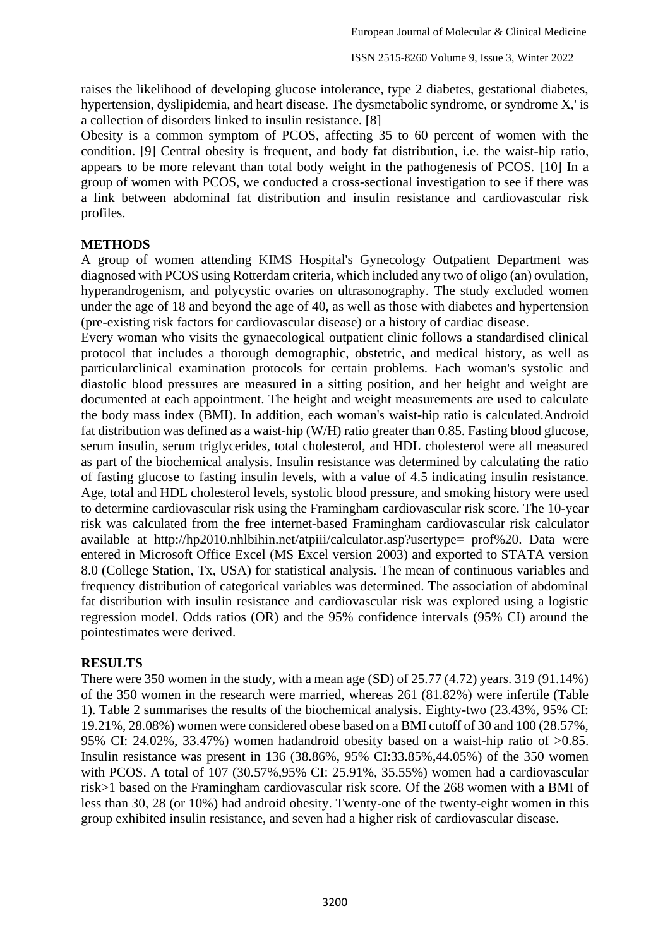raises the likelihood of developing glucose intolerance, type 2 diabetes, gestational diabetes, hypertension, dyslipidemia, and heart disease. The dysmetabolic syndrome, or syndrome X,' is a collection of disorders linked to insulin resistance. [8]

Obesity is a common symptom of PCOS, affecting 35 to 60 percent of women with the condition. [9] Central obesity is frequent, and body fat distribution, i.e. the waist-hip ratio, appears to be more relevant than total body weight in the pathogenesis of PCOS. [10] In a group of women with PCOS, we conducted a cross-sectional investigation to see if there was a link between abdominal fat distribution and insulin resistance and cardiovascular risk profiles.

## **METHODS**

A group of women attending KIMS Hospital's Gynecology Outpatient Department was diagnosed with PCOS using Rotterdam criteria, which included any two of oligo (an) ovulation, hyperandrogenism, and polycystic ovaries on ultrasonography. The study excluded women under the age of 18 and beyond the age of 40, as well as those with diabetes and hypertension (pre-existing risk factors for cardiovascular disease) or a history of cardiac disease.

Every woman who visits the gynaecological outpatient clinic follows a standardised clinical protocol that includes a thorough demographic, obstetric, and medical history, as well as particularclinical examination protocols for certain problems. Each woman's systolic and diastolic blood pressures are measured in a sitting position, and her height and weight are documented at each appointment. The height and weight measurements are used to calculate the body mass index (BMI). In addition, each woman's waist-hip ratio is calculated.Android fat distribution was defined as a waist-hip (W/H) ratio greater than 0.85. Fasting blood glucose, serum insulin, serum triglycerides, total cholesterol, and HDL cholesterol were all measured as part of the biochemical analysis. Insulin resistance was determined by calculating the ratio of fasting glucose to fasting insulin levels, with a value of 4.5 indicating insulin resistance. Age, total and HDL cholesterol levels, systolic blood pressure, and smoking history were used to determine cardiovascular risk using the Framingham cardiovascular risk score. The 10-year risk was calculated from the free internet-based Framingham cardiovascular risk calculator available at http://hp2010.nhlbihin.net/atpiii/calculator.asp?usertype= prof%20. Data were entered in Microsoft Office Excel (MS Excel version 2003) and exported to STATA version 8.0 (College Station, Tx, USA) for statistical analysis. The mean of continuous variables and frequency distribution of categorical variables was determined. The association of abdominal fat distribution with insulin resistance and cardiovascular risk was explored using a logistic regression model. Odds ratios (OR) and the 95% confidence intervals (95% CI) around the pointestimates were derived.

## **RESULTS**

There were 350 women in the study, with a mean age (SD) of 25.77 (4.72) years. 319 (91.14%) of the 350 women in the research were married, whereas 261 (81.82%) were infertile (Table 1). Table 2 summarises the results of the biochemical analysis. Eighty-two (23.43%, 95% CI: 19.21%, 28.08%) women were considered obese based on a BMI cutoff of 30 and 100 (28.57%, 95% CI: 24.02%, 33.47%) women hadandroid obesity based on a waist-hip ratio of >0.85. Insulin resistance was present in 136 (38.86%, 95% CI:33.85%,44.05%) of the 350 women with PCOS. A total of 107 (30.57%,95% CI: 25.91%, 35.55%) women had a cardiovascular risk>1 based on the Framingham cardiovascular risk score. Of the 268 women with a BMI of less than 30, 28 (or 10%) had android obesity. Twenty-one of the twenty-eight women in this group exhibited insulin resistance, and seven had a higher risk of cardiovascular disease.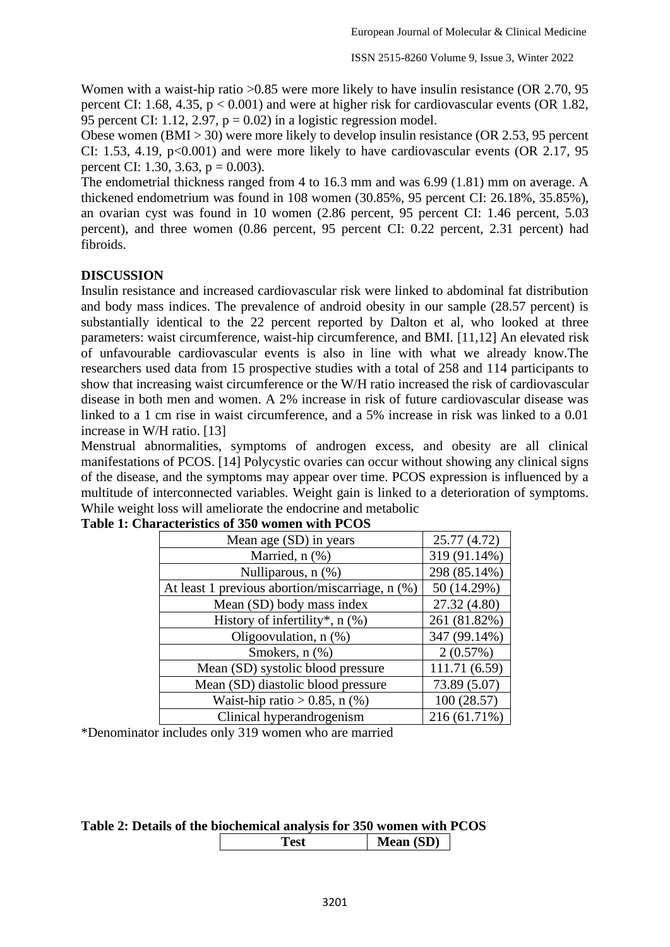Women with a waist-hip ratio >0.85 were more likely to have insulin resistance (OR 2.70, 95 percent CI: 1.68, 4.35, p < 0.001) and were at higher risk for cardiovascular events (OR 1.82, 95 percent CI: 1.12, 2.97,  $p = 0.02$ ) in a logistic regression model.

Obese women (BMI > 30) were more likely to develop insulin resistance (OR 2.53, 95 percent CI: 1.53, 4.19,  $p<0.001$ ) and were more likely to have cardiovascular events (OR 2.17, 95) percent CI: 1.30, 3.63,  $p = 0.003$ ).

The endometrial thickness ranged from 4 to 16.3 mm and was 6.99 (1.81) mm on average. A thickened endometrium was found in 108 women (30.85%, 95 percent CI: 26.18%, 35.85%), an ovarian cyst was found in 10 women (2.86 percent, 95 percent CI: 1.46 percent, 5.03 percent), and three women (0.86 percent, 95 percent CI: 0.22 percent, 2.31 percent) had fibroids.

## **DISCUSSION**

Insulin resistance and increased cardiovascular risk were linked to abdominal fat distribution and body mass indices. The prevalence of android obesity in our sample (28.57 percent) is substantially identical to the 22 percent reported by Dalton et al, who looked at three parameters: waist circumference, waist-hip circumference, and BMI. [11,12] An elevated risk of unfavourable cardiovascular events is also in line with what we already know.The researchers used data from 15 prospective studies with a total of 258 and 114 participants to show that increasing waist circumference or the W/H ratio increased the risk of cardiovascular disease in both men and women. A 2% increase in risk of future cardiovascular disease was linked to a 1 cm rise in waist circumference, and a 5% increase in risk was linked to a 0.01 increase in W/H ratio. [13]

Menstrual abnormalities, symptoms of androgen excess, and obesity are all clinical manifestations of PCOS. [14] Polycystic ovaries can occur without showing any clinical signs of the disease, and the symptoms may appear over time. PCOS expression is influenced by a multitude of interconnected variables. Weight gain is linked to a deterioration of symptoms. While weight loss will ameliorate the endocrine and metabolic

| Mean age (SD) in years                          | 25.77 (4.72)  |
|-------------------------------------------------|---------------|
| Married, n (%)                                  | 319 (91.14%)  |
| Nulliparous, n (%)                              | 298 (85.14%)  |
| At least 1 previous abortion/miscarriage, n (%) | 50 (14.29%)   |
| Mean (SD) body mass index                       | 27.32 (4.80)  |
| History of infertility*, n (%)                  | 261 (81.82%)  |
| Oligoovulation, $n$ $(\%)$                      | 347 (99.14%)  |
| Smokers, n (%)                                  | 2(0.57%)      |
| Mean (SD) systolic blood pressure               | 111.71 (6.59) |
| Mean (SD) diastolic blood pressure              | 73.89 (5.07)  |
| Waist-hip ratio $> 0.85$ , n $(\%)$             | 100 (28.57)   |
| Clinical hyperandrogenism                       | 216 (61.71%)  |

#### **Table 1: Characteristics of 350 women with PCOS**

\*Denominator includes only 319 women who are married

| Table 2: Details of the biochemical analysis for 350 women with PCOS |      |                  |  |
|----------------------------------------------------------------------|------|------------------|--|
|                                                                      | Test | <b>Mean (SD)</b> |  |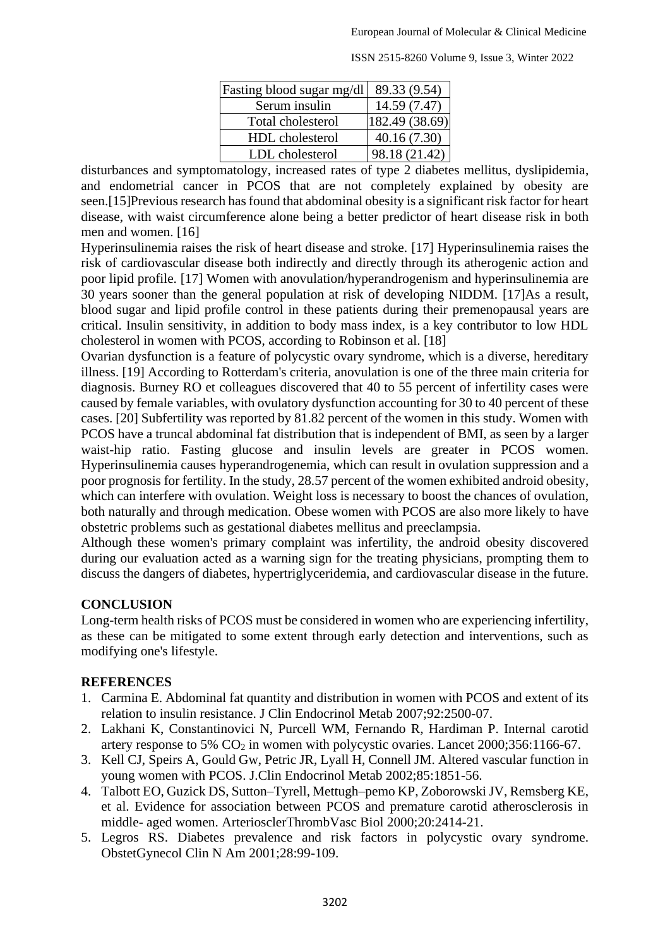| Fasting blood sugar mg/dl | 89.33 (9.54)   |
|---------------------------|----------------|
| Serum insulin             | 14.59 (7.47)   |
| Total cholesterol         | 182.49 (38.69) |
| HDL cholesterol           | 40.16(7.30)    |
| LDL cholesterol           | 98.18 (21.42)  |

ISSN 2515-8260 Volume 9, Issue 3, Winter 2022

disturbances and symptomatology, increased rates of type 2 diabetes mellitus, dyslipidemia, and endometrial cancer in PCOS that are not completely explained by obesity are seen.[15]Previous research has found that abdominal obesity is a significant risk factor for heart disease, with waist circumference alone being a better predictor of heart disease risk in both men and women. [16]

Hyperinsulinemia raises the risk of heart disease and stroke. [17] Hyperinsulinemia raises the risk of cardiovascular disease both indirectly and directly through its atherogenic action and poor lipid profile. [17] Women with anovulation/hyperandrogenism and hyperinsulinemia are 30 years sooner than the general population at risk of developing NIDDM. [17]As a result, blood sugar and lipid profile control in these patients during their premenopausal years are critical. Insulin sensitivity, in addition to body mass index, is a key contributor to low HDL cholesterol in women with PCOS, according to Robinson et al. [18]

Ovarian dysfunction is a feature of polycystic ovary syndrome, which is a diverse, hereditary illness. [19] According to Rotterdam's criteria, anovulation is one of the three main criteria for diagnosis. Burney RO et colleagues discovered that 40 to 55 percent of infertility cases were caused by female variables, with ovulatory dysfunction accounting for 30 to 40 percent of these cases. [20] Subfertility was reported by 81.82 percent of the women in this study. Women with PCOS have a truncal abdominal fat distribution that is independent of BMI, as seen by a larger waist-hip ratio. Fasting glucose and insulin levels are greater in PCOS women. Hyperinsulinemia causes hyperandrogenemia, which can result in ovulation suppression and a poor prognosis for fertility. In the study, 28.57 percent of the women exhibited android obesity, which can interfere with ovulation. Weight loss is necessary to boost the chances of ovulation, both naturally and through medication. Obese women with PCOS are also more likely to have obstetric problems such as gestational diabetes mellitus and preeclampsia.

Although these women's primary complaint was infertility, the android obesity discovered during our evaluation acted as a warning sign for the treating physicians, prompting them to discuss the dangers of diabetes, hypertriglyceridemia, and cardiovascular disease in the future.

# **CONCLUSION**

Long-term health risks of PCOS must be considered in women who are experiencing infertility, as these can be mitigated to some extent through early detection and interventions, such as modifying one's lifestyle.

# **REFERENCES**

- 1. Carmina E. Abdominal fat quantity and distribution in women with PCOS and extent of its relation to insulin resistance. J Clin Endocrinol Metab 2007;92:2500-07.
- 2. Lakhani K, Constantinovici N, Purcell WM, Fernando R, Hardiman P. Internal carotid artery response to 5%  $CO<sub>2</sub>$  in women with polycystic ovaries. Lancet 2000;356:1166-67.
- 3. Kell CJ, Speirs A, Gould Gw, Petric JR, Lyall H, Connell JM. Altered vascular function in young women with PCOS. J.Clin Endocrinol Metab 2002;85:1851-56.
- 4. Talbott EO, Guzick DS, Sutton–Tyrell, Mettugh–pemo KP, Zoborowski JV, Remsberg KE, et al. Evidence for association between PCOS and premature carotid atherosclerosis in middle- aged women. ArteriosclerThrombVasc Biol 2000;20:2414-21.
- 5. Legros RS. Diabetes prevalence and risk factors in polycystic ovary syndrome. ObstetGynecol Clin N Am 2001;28:99-109.